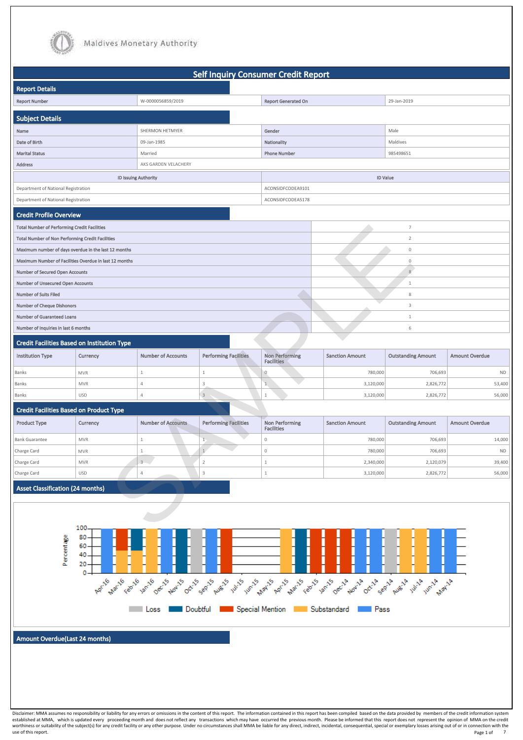

use of this report. Note that the control of this report. The control of this report. Page 1 of Page 1 of 7



|                                                         |                                                        |                           | <b>Self Inquiry Consumer Credit Report</b> |                                            |                        |                           |                       |
|---------------------------------------------------------|--------------------------------------------------------|---------------------------|--------------------------------------------|--------------------------------------------|------------------------|---------------------------|-----------------------|
| <b>Report Details</b>                                   |                                                        |                           |                                            |                                            |                        |                           |                       |
| <b>Report Number</b>                                    |                                                        | W-0000056859/2019         |                                            | <b>Report Generated On</b>                 |                        | 29-Jan-2019               |                       |
| <b>Subject Details</b>                                  |                                                        |                           |                                            |                                            |                        |                           |                       |
| Name                                                    |                                                        | SHERMON HETMYER           |                                            | Gender                                     |                        | Male                      |                       |
| Date of Birth                                           |                                                        | 09-Jan-1985               |                                            | Nationality                                |                        | Maldives                  |                       |
| <b>Marital Status</b>                                   |                                                        | Married                   |                                            | <b>Phone Number</b>                        |                        | 985498651                 |                       |
| <b>Address</b>                                          |                                                        | AKS GARDEN VELACHERY      |                                            |                                            |                        |                           |                       |
|                                                         |                                                        | ID Issuing Authority      |                                            |                                            |                        | <b>ID Value</b>           |                       |
| Department of National Registration                     |                                                        |                           |                                            | ACONSIDFCODEA9101                          |                        |                           |                       |
| Department of National Registration                     |                                                        |                           |                                            | ACONSIDFCODEA5178                          |                        |                           |                       |
| <b>Credit Profile Overview</b>                          |                                                        |                           |                                            |                                            |                        |                           |                       |
| <b>Total Number of Performing Credit Facilities</b>     |                                                        |                           |                                            |                                            |                        | $\overline{7}$            |                       |
| <b>Total Number of Non Performing Credit Facilities</b> |                                                        |                           |                                            |                                            |                        | $\overline{2}$            |                       |
|                                                         | Maximum number of days overdue in the last 12 months   |                           |                                            |                                            |                        | $\mathbf 0$               |                       |
|                                                         | Maximum Number of Facilities Overdue in last 12 months |                           |                                            |                                            |                        | $\mathbf 0$               |                       |
| <b>Number of Secured Open Accounts</b>                  |                                                        |                           |                                            |                                            |                        | 8                         |                       |
| <b>Number of Unsecured Open Accounts</b>                |                                                        |                           |                                            |                                            |                        | $\mathbf{1}$              |                       |
| <b>Number of Suits Filed</b>                            |                                                        |                           |                                            |                                            |                        | 8                         |                       |
| <b>Number of Cheque Dishonors</b>                       |                                                        |                           |                                            |                                            |                        | 3                         |                       |
| <b>Number of Guaranteed Loans</b>                       |                                                        |                           |                                            |                                            |                        | $\mathbf{1}$              |                       |
| Number of Inquiries in last 6 months                    |                                                        |                           |                                            |                                            |                        | 6                         |                       |
| <b>Credit Facilities Based on Institution Type</b>      |                                                        |                           |                                            |                                            |                        |                           |                       |
| <b>Institution Type</b>                                 | Currency                                               | <b>Number of Accounts</b> | <b>Performing Facilities</b>               | <b>Non Performing</b><br><b>Facilities</b> | <b>Sanction Amount</b> | <b>Outstanding Amount</b> | <b>Amount Overdue</b> |
| Banks                                                   | <b>MVR</b>                                             | $\mathbf{1}$              | $\mathbf{1}$                               | $\overline{0}$                             | 780,000                | 706,693                   | <b>ND</b>             |
| Banks                                                   | <b>MVR</b>                                             | $\overline{4}$            | $\frac{3}{2}$                              | 1                                          | 3,120,000              | 2,826,772                 | 53,400                |
| Banks                                                   | <b>USD</b>                                             | $\overline{4}$            | $\mathsf 3$                                | $\mathbf{1}$                               | 3,120,000              | 2,826,772                 | 56,000                |
| <b>Credit Facilities Based on Product Type</b>          |                                                        |                           |                                            |                                            |                        |                           |                       |
| <b>Product Type</b>                                     | Currency                                               | <b>Number of Accounts</b> | <b>Performing Facilities</b>               | <b>Non Performing</b><br><b>Facilities</b> | <b>Sanction Amount</b> | <b>Outstanding Amount</b> | <b>Amount Overdue</b> |
| <b>Bank Guarantee</b>                                   | <b>MVR</b>                                             | $\mathbf{1}$              |                                            | 0                                          | 780,000                | 706,693                   | 14,000                |
| Charge Card                                             | <b>MVR</b>                                             | $\mathbf{1}$              | $\mathbf{1}$                               | 0                                          | 780,000                | 706,693                   | <b>ND</b>             |
| Charge Card                                             | <b>MVR</b>                                             | $3 - 3$                   | $\overline{2}$                             | $\mathbf{1}$                               | 2,340,000              | 2,120,079                 | 39,400                |
| Charge Card                                             | <b>USD</b>                                             | $\overline{4}$            | 3                                          | $\mathbf{1}$                               | 3,120,000              | 2,826,772                 | 56,000                |
| <b>Asset Classification (24 months)</b>                 |                                                        |                           |                                            |                                            |                        |                           |                       |
|                                                         |                                                        |                           |                                            |                                            |                        |                           |                       |
|                                                         | 100                                                    |                           |                                            |                                            |                        |                           |                       |

#### Credit Facilities Based on Product Type

| <b>Product Type</b>   | Currency   | <b>Number of Accounts</b> | <b>Performing Facilities</b> | Non Performing<br><b>Facilities</b> | <b>Sanction Amount</b> | <b>Outstanding Amount</b> | <b>Amount Overdue</b> |
|-----------------------|------------|---------------------------|------------------------------|-------------------------------------|------------------------|---------------------------|-----------------------|
| <b>Bank Guarantee</b> | <b>MVR</b> |                           |                              |                                     | 780,000                | 706,693                   | 14,000                |
| Charge Card           | <b>MVR</b> |                           |                              |                                     | 780,000                | 706,693                   | <b>ND</b>             |
| Charge Card           | <b>MVR</b> |                           |                              |                                     | 2,340,000              | 2,120,079                 | 39,400                |
| Charge Card           | <b>USD</b> |                           |                              |                                     | 3,120,000              | 2,826,772                 | 56,000                |

#### Asset Classification (24 months)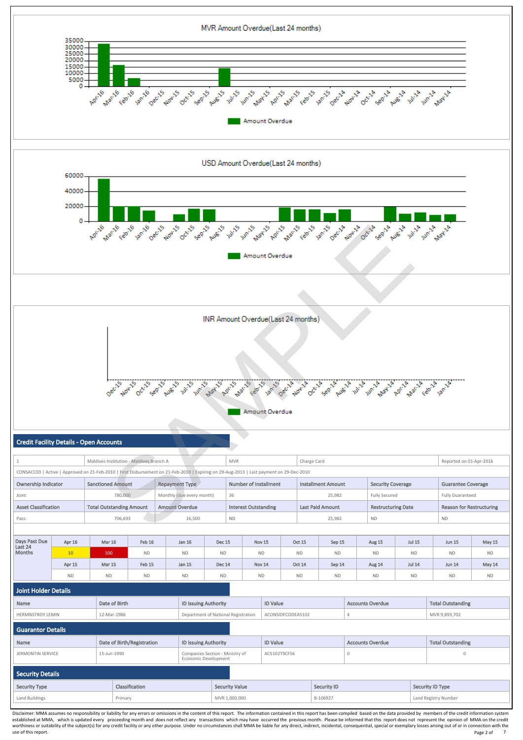| Apr 15 | <b>Mar 15</b> | Feb 15    | <b>Jan 15</b> | <b>Dec 14</b> | Nov 14    | <b>Oct 14</b> | Sep 14    | <b>Aug 14</b> | <b>Jul 14</b>            | <b>Jun 14</b> | May 14    |
|--------|---------------|-----------|---------------|---------------|-----------|---------------|-----------|---------------|--------------------------|---------------|-----------|
| ND     | שו            | <b>ND</b> | <b>ND</b>     | <b>ND</b>     | <b>ND</b> | <b>ND</b>     | <b>ND</b> | <b>ND</b>     | <b>AID</b><br><b>IVD</b> | <b>ND</b>     | <b>ND</b> |

|  | Joint Holder Details |
|--|----------------------|
|  |                      |



| Name                     | Date of Birth              | <b>ID Issuing Authority</b>         |                                 | <b>ID Value</b>    |  | <b>Accounts Overdue</b> |  | <b>Total Outstanding</b> |
|--------------------------|----------------------------|-------------------------------------|---------------------------------|--------------------|--|-------------------------|--|--------------------------|
| <b>HERMNSTROY LEMIN</b>  | 12-Mar-1986                | Department of National Registration |                                 | ACONSIDFCODEA5102  |  |                         |  | MVR 9,893,702            |
| <b>Guarantor Details</b> |                            |                                     |                                 |                    |  |                         |  |                          |
| Name                     | Date of Birth/Registration | <b>ID Issuing Authority</b>         |                                 | <b>ID Value</b>    |  | <b>Accounts Overdue</b> |  | <b>Total Outstanding</b> |
| <b>JERMONTIN SERVICE</b> | 15-Jun-1990                | Economic Development                | Companies Section - Ministry of | AC5102T9CF56       |  | $\mathbf{0}$            |  | $\mathbf{0}$             |
| <b>Security Details</b>  |                            |                                     |                                 |                    |  |                         |  |                          |
| <b>Security Type</b>     | Classification             |                                     | <b>Security Value</b>           | <b>Security ID</b> |  |                         |  | Security ID Type         |
| Land Buildings           | Primary                    |                                     | MVR 1,000,000                   | B-106927           |  |                         |  | Land Registry Number     |

Disclaimer: MMA assumes no responsibility or liability for any errors or omissions in the content of this report. The information contained in this report has been compiled based on the data provided by members of the cred established at MMA, which is updated every proceeding month and does not reflect any transactions which may have occurred the previous month. Please be informed that this report does not represent the opinion of MMA on the worthiness or suitability of the subject(s) for any credit facility or any other purpose. Under no circumstances shall MMA be liable for any direct, indirect, incidental, consequential, special or exemplary losses arising use of this report. Notice that the control of the control of the control of the control of the control of the control of the control of the control of the control of the control of the control of the control of the contro Page 2 of 7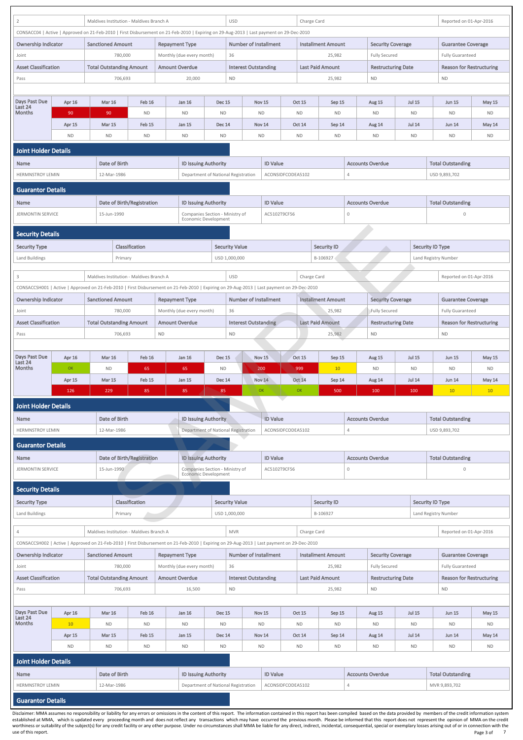| $\overline{2}$                                      |                                        |  | Maldives Institution - Maldives Branch A |                            |                                                    |                                                                                                                                                                                                       | <b>USD</b><br>Charge Card<br>Reported on 01-Apr-2016 |                            |                            |                                |                     |                                                  |                            |                                                      |                     |  |
|-----------------------------------------------------|----------------------------------------|--|------------------------------------------|----------------------------|----------------------------------------------------|-------------------------------------------------------------------------------------------------------------------------------------------------------------------------------------------------------|------------------------------------------------------|----------------------------|----------------------------|--------------------------------|---------------------|--------------------------------------------------|----------------------------|------------------------------------------------------|---------------------|--|
|                                                     |                                        |  |                                          |                            |                                                    | CONSACC04   Active   Approved on 21-Feb-2010   First Disbursement on 21-Feb-2010   Expiring on 29-Aug-2013   Last payment on 29-Dec-2010<br><b>Number of Installment</b><br><b>Installment Amount</b> |                                                      |                            |                            |                                |                     |                                                  |                            |                                                      |                     |  |
| <b>Ownership Indicator</b>                          |                                        |  | <b>Sanctioned Amount</b>                 |                            | <b>Repayment Type</b>                              |                                                                                                                                                                                                       |                                                      |                            |                            |                                |                     | <b>Security Coverage</b>                         |                            | <b>Guarantee Coverage</b>                            |                     |  |
| Joint                                               |                                        |  | 780,000                                  |                            | Monthly (due every month)                          |                                                                                                                                                                                                       | 36                                                   |                            |                            |                                | 25,982              | <b>Fully Secured</b>                             |                            | <b>Fully Guaranteed</b>                              |                     |  |
| <b>Asset Classification</b>                         |                                        |  | <b>Total Outstanding Amount</b>          |                            | <b>Amount Overdue</b>                              |                                                                                                                                                                                                       | <b>Interest Outstanding</b>                          |                            |                            | <b>Last Paid Amount</b>        |                     | <b>Restructuring Date</b>                        |                            | <b>Reason for Restructuring</b>                      |                     |  |
| Pass                                                |                                        |  | 706,693                                  |                            |                                                    | 20,000                                                                                                                                                                                                | <b>ND</b>                                            |                            |                            |                                | 25,982              | <b>ND</b>                                        |                            | <b>ND</b>                                            |                     |  |
|                                                     |                                        |  |                                          |                            |                                                    |                                                                                                                                                                                                       |                                                      |                            |                            |                                |                     |                                                  |                            |                                                      |                     |  |
| Days Past Due<br>Last 24<br>Months                  | Apr 16                                 |  | <b>Mar 16</b>                            | Feb 16                     | Jan 16                                             | <b>Dec 15</b>                                                                                                                                                                                         |                                                      | <b>Nov 15</b>              | <b>Oct 15</b>              |                                | Sep 15              | Aug 15                                           | <b>Jul 15</b>              | <b>Jun 15</b>                                        | <b>May 15</b>       |  |
|                                                     | 90<br>Apr 15                           |  | 90<br><b>Mar 15</b>                      | <b>ND</b><br><b>Feb 15</b> | <b>ND</b><br><b>Jan 15</b>                         | <b>ND</b><br><b>Dec 14</b>                                                                                                                                                                            |                                                      | <b>ND</b><br><b>Nov 14</b> | <b>ND</b><br><b>Oct 14</b> |                                | <b>ND</b><br>Sep 14 | <b>ND</b><br>Aug 14                              | <b>ND</b><br><b>Jul 14</b> | <b>ND</b><br><b>Jun 14</b>                           | <b>ND</b><br>May 14 |  |
|                                                     | <b>ND</b>                              |  | <b>ND</b>                                | <b>ND</b>                  | <b>ND</b>                                          | <b>ND</b>                                                                                                                                                                                             |                                                      | <b>ND</b>                  | <b>ND</b>                  |                                | <b>ND</b>           | <b>ND</b>                                        | <b>ND</b>                  | <b>ND</b>                                            | <b>ND</b>           |  |
| <b>Joint Holder Details</b>                         |                                        |  |                                          |                            |                                                    |                                                                                                                                                                                                       |                                                      |                            |                            |                                |                     |                                                  |                            |                                                      |                     |  |
| <b>Name</b>                                         |                                        |  | Date of Birth                            |                            |                                                    | <b>ID Issuing Authority</b>                                                                                                                                                                           |                                                      | <b>ID Value</b>            |                            |                                |                     | <b>Accounts Overdue</b>                          |                            | <b>Total Outstanding</b>                             |                     |  |
| <b>HERMNSTROY LEMIN</b>                             |                                        |  | 12-Mar-1986                              |                            |                                                    | Department of National Registration                                                                                                                                                                   |                                                      |                            | ACONSIDFCODEA5102          |                                | $\overline{4}$      |                                                  |                            | USD 9,893,702                                        |                     |  |
| <b>Guarantor Details</b>                            |                                        |  |                                          |                            |                                                    |                                                                                                                                                                                                       |                                                      |                            |                            |                                |                     |                                                  |                            |                                                      |                     |  |
| <b>Name</b>                                         |                                        |  | <b>Date of Birth/Registration</b>        |                            |                                                    | <b>ID Issuing Authority</b>                                                                                                                                                                           |                                                      | <b>ID Value</b>            |                            |                                |                     | <b>Accounts Overdue</b>                          |                            | <b>Total Outstanding</b>                             |                     |  |
| <b>JERMONTIN SERVICE</b>                            |                                        |  | 15-Jun-1990                              |                            |                                                    | Companies Section - Ministry of                                                                                                                                                                       |                                                      | AC5102T9CF56               |                            |                                | $\mathbf 0$         |                                                  |                            | $\mathbf 0$                                          |                     |  |
|                                                     |                                        |  |                                          |                            |                                                    | Economic Development                                                                                                                                                                                  |                                                      |                            |                            |                                |                     |                                                  |                            |                                                      |                     |  |
| <b>Security Details</b>                             |                                        |  |                                          |                            |                                                    |                                                                                                                                                                                                       |                                                      |                            |                            |                                |                     |                                                  |                            |                                                      |                     |  |
| <b>Security Type</b>                                |                                        |  |                                          | Classification             |                                                    |                                                                                                                                                                                                       | <b>Security Value</b>                                |                            |                            | <b>Security ID</b>             |                     |                                                  |                            | <b>Security ID Type</b>                              |                     |  |
| Land Buildings                                      |                                        |  | Primary                                  |                            |                                                    |                                                                                                                                                                                                       | USD 1,000,000                                        |                            |                            | B-106927                       |                     |                                                  |                            | Land Registry Number                                 |                     |  |
| 3                                                   |                                        |  | Maldives Institution - Maldives Branch A |                            |                                                    |                                                                                                                                                                                                       | <b>USD</b>                                           |                            |                            | Charge Card                    |                     |                                                  |                            | Reported on 01-Apr-2016                              |                     |  |
|                                                     |                                        |  |                                          |                            |                                                    | CONSACCSH001   Active   Approved on 21-Feb-2010   First Disbursement on 21-Feb-2010   Expiring on 29-Aug-2013   Last payment on 29-Dec-2010                                                           |                                                      |                            |                            |                                |                     |                                                  |                            |                                                      |                     |  |
| <b>Ownership Indicator</b>                          |                                        |  | <b>Sanctioned Amount</b>                 |                            | <b>Repayment Type</b>                              |                                                                                                                                                                                                       | <b>Number of Installment</b>                         |                            |                            | <b>Installment Amount</b>      |                     | <b>Security Coverage</b>                         |                            | <b>Guarantee Coverage</b>                            |                     |  |
| Joint                                               |                                        |  | 780,000                                  |                            | Monthly (due every month)                          |                                                                                                                                                                                                       | 36                                                   |                            |                            |                                | 25,982              | <b>Fully Secured</b>                             |                            | <b>Fully Guaranteed</b>                              |                     |  |
| <b>Asset Classification</b>                         |                                        |  | <b>Total Outstanding Amount</b>          |                            | <b>Amount Overdue</b>                              |                                                                                                                                                                                                       | Interest Outstanding                                 |                            |                            | <b>Last Paid Amount</b>        |                     | <b>Restructuring Date</b>                        |                            | <b>Reason for Restructuring</b>                      |                     |  |
| Pass                                                |                                        |  | 706,693                                  |                            | <b>ND</b>                                          |                                                                                                                                                                                                       | <b>ND</b>                                            |                            |                            |                                | 25,982              | <b>ND</b>                                        |                            | <b>ND</b>                                            |                     |  |
| Days Past Due                                       | Apr 16                                 |  | <b>Mar 16</b>                            | Feb 16                     | Jan 16                                             | <b>Dec 15</b>                                                                                                                                                                                         |                                                      | Nov 15                     | Oct 15                     |                                | Sep 15              | <b>Aug 15</b>                                    | <b>Jul 15</b>              | <b>Jun 15</b>                                        | <b>May 15</b>       |  |
| Last 24<br>Months                                   | OK                                     |  | <b>ND</b>                                | 65                         | 65                                                 | <b>ND</b>                                                                                                                                                                                             |                                                      | 200                        | 999                        |                                | 10                  | <b>ND</b>                                        | <b>ND</b>                  | <b>ND</b>                                            | ND                  |  |
|                                                     | Apr 15                                 |  | <b>Mar 15</b>                            | Feb 15                     | <b>Jan 15</b>                                      | <b>Dec 14</b>                                                                                                                                                                                         |                                                      | Nov 14                     | <b>Oct 14</b>              |                                | Sep 14              | Aug 14                                           | <b>Jul 14</b>              | <b>Jun 14</b>                                        | May 14              |  |
|                                                     | 126                                    |  | 229                                      | 85                         | 85                                                 | 85                                                                                                                                                                                                    |                                                      | OK                         | OK                         |                                | 500                 | 100                                              | 100                        | 10<br>10                                             |                     |  |
| <b>Joint Holder Details</b>                         |                                        |  |                                          |                            |                                                    |                                                                                                                                                                                                       |                                                      |                            |                            |                                |                     |                                                  |                            |                                                      |                     |  |
| Name                                                |                                        |  | Date of Birth                            |                            |                                                    | <b>ID Issuing Authority</b>                                                                                                                                                                           |                                                      | <b>ID Value</b>            |                            |                                |                     | <b>Accounts Overdue</b>                          |                            | <b>Total Outstanding</b>                             |                     |  |
| <b>HERMNSTROY LEMIN</b>                             |                                        |  | 12-Mar-1986                              |                            |                                                    | Department of National Registration                                                                                                                                                                   |                                                      |                            | ACONSIDFCODEA5102          |                                | $\overline{4}$      |                                                  |                            | USD 9,893,702                                        |                     |  |
| <b>Guarantor Details</b>                            |                                        |  |                                          |                            |                                                    |                                                                                                                                                                                                       |                                                      |                            |                            |                                |                     |                                                  |                            |                                                      |                     |  |
| <b>Name</b>                                         |                                        |  | Date of Birth/Registration               |                            |                                                    | <b>ID Issuing Authority</b>                                                                                                                                                                           |                                                      | <b>ID Value</b>            |                            |                                |                     |                                                  |                            |                                                      |                     |  |
| <b>JERMONTIN SERVICE</b>                            |                                        |  | 15-Jun-1990                              |                            |                                                    |                                                                                                                                                                                                       | AC5102T9CF56                                         |                            |                            |                                |                     | <b>Accounts Overdue</b>                          |                            | <b>Total Outstanding</b>                             |                     |  |
| <b>Security Details</b>                             |                                        |  |                                          |                            |                                                    | <b>Economic Development</b>                                                                                                                                                                           | Companies Section - Ministry of                      |                            |                            |                                | $\mathbf 0$         |                                                  |                            | $\mathbf 0$                                          |                     |  |
|                                                     |                                        |  |                                          |                            |                                                    |                                                                                                                                                                                                       |                                                      |                            |                            |                                |                     |                                                  |                            |                                                      |                     |  |
|                                                     | Classification<br><b>Security Type</b> |  |                                          |                            |                                                    |                                                                                                                                                                                                       |                                                      |                            |                            |                                |                     |                                                  |                            |                                                      |                     |  |
| Land Buildings                                      |                                        |  | Primary                                  |                            |                                                    |                                                                                                                                                                                                       | <b>Security Value</b><br>USD 1,000,000               |                            |                            | <b>Security ID</b><br>B-106927 |                     |                                                  |                            | <b>Security ID Type</b><br>Land Registry Number      |                     |  |
|                                                     |                                        |  |                                          |                            |                                                    |                                                                                                                                                                                                       |                                                      |                            |                            |                                |                     |                                                  |                            |                                                      |                     |  |
| 4                                                   |                                        |  | Maldives Institution - Maldives Branch A |                            |                                                    |                                                                                                                                                                                                       | <b>MVR</b>                                           |                            |                            | Charge Card                    |                     |                                                  |                            | Reported on 01-Apr-2016                              |                     |  |
|                                                     |                                        |  |                                          |                            |                                                    | CONSACCSH002   Active   Approved on 21-Feb-2010   First Disbursement on 21-Feb-2010   Expiring on 29-Aug-2013   Last payment on 29-Dec-2010                                                           |                                                      |                            |                            |                                |                     |                                                  |                            |                                                      |                     |  |
| <b>Ownership Indicator</b><br>Joint                 |                                        |  | <b>Sanctioned Amount</b><br>780,000      |                            | <b>Repayment Type</b><br>Monthly (due every month) |                                                                                                                                                                                                       | <b>Number of Installment</b><br>36                   |                            |                            | <b>Installment Amount</b>      | 25,982              | <b>Security Coverage</b><br><b>Fully Secured</b> |                            | <b>Guarantee Coverage</b><br><b>Fully Guaranteed</b> |                     |  |
| <b>Asset Classification</b>                         |                                        |  | <b>Total Outstanding Amount</b>          |                            | <b>Amount Overdue</b>                              |                                                                                                                                                                                                       | <b>Interest Outstanding</b>                          |                            |                            | <b>Last Paid Amount</b>        |                     | <b>Restructuring Date</b>                        |                            | <b>Reason for Restructuring</b>                      |                     |  |
| Pass                                                |                                        |  | 706,693                                  |                            |                                                    | 16,500                                                                                                                                                                                                | <b>ND</b>                                            |                            |                            |                                | 25,982              | <b>ND</b>                                        |                            | <b>ND</b>                                            |                     |  |
|                                                     |                                        |  |                                          |                            |                                                    |                                                                                                                                                                                                       |                                                      |                            |                            |                                |                     |                                                  |                            |                                                      |                     |  |
| Days Past Due<br>Last 24                            | Apr 16                                 |  | <b>Mar 16</b>                            | Feb 16                     | Jan 16                                             | <b>Dec 15</b>                                                                                                                                                                                         |                                                      | Nov 15                     | <b>Oct 15</b>              |                                | Sep 15              | Aug 15                                           | <b>Jul 15</b>              | <b>Jun 15</b>                                        | <b>May 15</b>       |  |
| Months                                              | 10                                     |  | <b>ND</b>                                | <b>ND</b>                  | <b>ND</b>                                          | <b>ND</b>                                                                                                                                                                                             |                                                      | <b>ND</b>                  | <b>ND</b>                  |                                | <b>ND</b>           | <b>ND</b>                                        | <b>ND</b>                  | <b>ND</b>                                            | <b>ND</b>           |  |
|                                                     | Apr 15                                 |  | <b>Mar 15</b>                            | Feb 15                     | <b>Jan 15</b>                                      | <b>Dec 14</b>                                                                                                                                                                                         |                                                      | Nov 14                     | <b>Oct 14</b>              |                                | Sep 14              | Aug 14                                           | <b>Jul 14</b>              | <b>Jun 14</b>                                        | May 14              |  |
|                                                     | <b>ND</b>                              |  | <b>ND</b>                                | <b>ND</b>                  | <b>ND</b>                                          | <b>ND</b>                                                                                                                                                                                             |                                                      | $\sf ND$                   | <b>ND</b>                  |                                | <b>ND</b>           | <b>ND</b>                                        | <b>ND</b>                  | <b>ND</b>                                            | <b>ND</b>           |  |
| <b>Joint Holder Details</b>                         |                                        |  |                                          |                            |                                                    |                                                                                                                                                                                                       |                                                      |                            |                            |                                |                     |                                                  |                            |                                                      |                     |  |
| Name                                                |                                        |  | Date of Birth                            |                            |                                                    | <b>ID Issuing Authority</b>                                                                                                                                                                           |                                                      | <b>ID Value</b>            |                            |                                |                     | <b>Accounts Overdue</b>                          |                            | <b>Total Outstanding</b>                             |                     |  |
| <b>HERMNSTROY LEMIN</b><br><b>Guarantor Details</b> |                                        |  | 12-Mar-1986                              |                            |                                                    | Department of National Registration                                                                                                                                                                   |                                                      |                            | ACONSIDFCODEA5102          |                                | 4                   |                                                  |                            | MVR 9,893,702                                        |                     |  |

Disclaimer: MMA assumes no responsibility or liability for any errors or omissions in the content of this report. The information contained in this report has been compiled based on the data provided by members of the cred established at MMA, which is updated every proceeding month and does not reflect any transactions which may have occurred the previous month. Please be informed that this report does not represent the opinion of MMA on the worthiness or suitability of the subject(s) for any credit facility or any other purpose. Under no circumstances shall MMA be liable for any direct, indirect, incidental, consequential, special or exemplary losses arising use of this report. Note that the control of this report. The control of this report. Page 3 of Page 3 of 7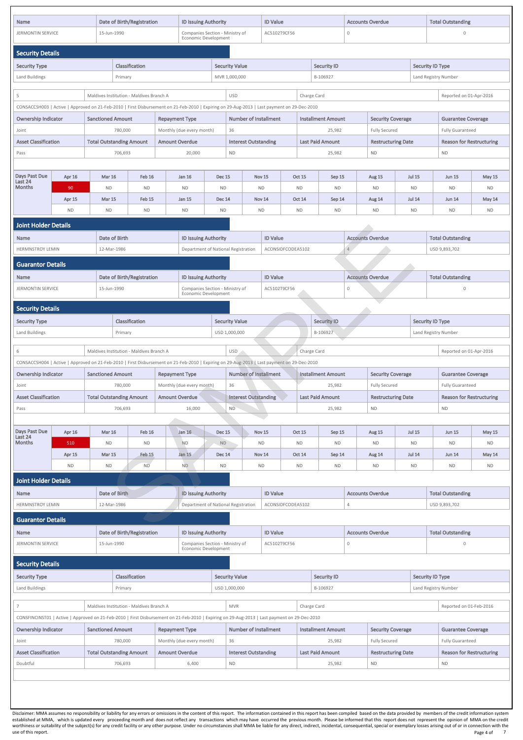| <b>Security Type</b>        |                          | <b>Classification</b>                    |                           | <b>Security Value</b>                                                                                                                         |                         | <b>Security ID</b>        |                           | <b>Security ID Type</b> |                                 |  |
|-----------------------------|--------------------------|------------------------------------------|---------------------------|-----------------------------------------------------------------------------------------------------------------------------------------------|-------------------------|---------------------------|---------------------------|-------------------------|---------------------------------|--|
| Land Buildings              |                          | Primary                                  |                           | USD 1,000,000                                                                                                                                 |                         | B-106927                  |                           | Land Registry Number    |                                 |  |
|                             |                          |                                          |                           |                                                                                                                                               |                         |                           |                           |                         |                                 |  |
|                             |                          | Maldives Institution - Maldives Branch A |                           | <b>MVR</b>                                                                                                                                    |                         | Charge Card               |                           |                         | Reported on 01-Feb-2016         |  |
|                             |                          |                                          |                           | CONSFINCINST01   Active   Approved on 21-Feb-2010   First Disbursement on 21-Feb-2010   Expiring on 29-Aug-2013   Last payment on 29-Dec-2010 |                         |                           |                           |                         |                                 |  |
| <b>Ownership Indicator</b>  | <b>Sanctioned Amount</b> |                                          | <b>Repayment Type</b>     | <b>Number of Installment</b>                                                                                                                  |                         | <b>Installment Amount</b> | <b>Security Coverage</b>  |                         | <b>Guarantee Coverage</b>       |  |
| Joint                       |                          | 780,000                                  | Monthly (due every month) | 36                                                                                                                                            |                         | 25,982                    | <b>Fully Secured</b>      |                         | <b>Fully Guaranteed</b>         |  |
| <b>Asset Classification</b> |                          | <b>Total Outstanding Amount</b>          | <b>Amount Overdue</b>     | <b>Interest Outstanding</b>                                                                                                                   | <b>Last Paid Amount</b> |                           | <b>Restructuring Date</b> |                         | <b>Reason for Restructuring</b> |  |
| Doubtful                    |                          | 706,693                                  | 6,400                     | <b>ND</b>                                                                                                                                     |                         | 25,982                    | <b>ND</b>                 | <b>ND</b>               |                                 |  |
|                             |                          |                                          |                           |                                                                                                                                               |                         |                           |                           |                         |                                 |  |
|                             |                          |                                          |                           |                                                                                                                                               |                         |                           |                           |                         |                                 |  |
|                             |                          |                                          |                           |                                                                                                                                               |                         |                           |                           |                         |                                 |  |
|                             |                          |                                          |                           |                                                                                                                                               |                         |                           |                           |                         |                                 |  |

established at MMA, which is updated every proceeding month and does not reflect any transactions which may have occurred the previous month. Please be informed that this report does not represent the opinion of MMA on the worthiness or suitability of the subject(s) for any credit facility or any other purpose. Under no circumstances shall MMA be liable for any direct, incidental, consequential, special or exemplary losses arising out of or use of this report. Note that the control of this report. The control of this report. Page 4 of Page 4 of 7

| <b>Name</b>                                                                                                                                                               |           |                                 | <b>Date of Birth/Registration</b> |                                          |                       |                                                                                        | <b>ID Issuing Authority</b><br>Companies Section - Ministry of |                                     |                   |                                     | <b>ID Value</b><br>AC5102T9CF56 |                           |                         | <b>Accounts Overdue</b><br>$\mathbf 0$           |               |                                                      | <b>Total Outstanding</b>        |               |
|---------------------------------------------------------------------------------------------------------------------------------------------------------------------------|-----------|---------------------------------|-----------------------------------|------------------------------------------|-----------------------|----------------------------------------------------------------------------------------|----------------------------------------------------------------|-------------------------------------|-------------------|-------------------------------------|---------------------------------|---------------------------|-------------------------|--------------------------------------------------|---------------|------------------------------------------------------|---------------------------------|---------------|
| <b>JERMONTIN SERVICE</b>                                                                                                                                                  |           |                                 | 15-Jun-1990                       |                                          |                       |                                                                                        |                                                                |                                     |                   |                                     |                                 |                           |                         |                                                  |               |                                                      | 0                               |               |
|                                                                                                                                                                           |           |                                 |                                   |                                          |                       | Economic Development                                                                   |                                                                |                                     |                   |                                     |                                 |                           |                         |                                                  |               |                                                      |                                 |               |
| <b>Security Details</b>                                                                                                                                                   |           |                                 |                                   |                                          |                       |                                                                                        |                                                                |                                     |                   |                                     |                                 |                           |                         |                                                  |               |                                                      |                                 |               |
| <b>Security Type</b>                                                                                                                                                      |           |                                 |                                   | Classification                           |                       |                                                                                        |                                                                | <b>Security Value</b>               |                   |                                     |                                 | <b>Security ID</b>        |                         |                                                  |               | <b>Security ID Type</b>                              |                                 |               |
| Land Buildings                                                                                                                                                            |           |                                 | Primary                           |                                          |                       |                                                                                        |                                                                | MVR 1,000,000                       |                   |                                     |                                 | B-106927                  |                         |                                                  |               |                                                      | Land Registry Number            |               |
| 5                                                                                                                                                                         |           |                                 |                                   | Maldives Institution - Maldives Branch A |                       |                                                                                        |                                                                | <b>USD</b>                          |                   |                                     | Charge Card                     |                           |                         |                                                  |               |                                                      | Reported on 01-Apr-2016         |               |
| CONSACCSH003   Active   Approved on 21-Feb-2010   First Disbursement on 21-Feb-2010   Expiring on 29-Aug-2013   Last payment on 29-Dec-2010<br><b>Ownership Indicator</b> |           | <b>Sanctioned Amount</b>        |                                   |                                          |                       |                                                                                        |                                                                | <b>Number of Installment</b>        |                   |                                     |                                 | <b>Installment Amount</b> |                         |                                                  |               |                                                      |                                 |               |
| Joint                                                                                                                                                                     |           |                                 | 780,000                           |                                          | <b>Repayment Type</b> | Monthly (due every month)                                                              |                                                                | 36                                  |                   | 25,982                              |                                 |                           |                         | <b>Security Coverage</b><br><b>Fully Secured</b> |               | <b>Guarantee Coverage</b><br><b>Fully Guaranteed</b> |                                 |               |
| <b>Asset Classification</b>                                                                                                                                               |           | <b>Total Outstanding Amount</b> |                                   |                                          |                       | <b>Amount Overdue</b><br><b>Interest Outstanding</b>                                   |                                                                |                                     |                   |                                     |                                 | <b>Last Paid Amount</b>   |                         | <b>Restructuring Date</b>                        |               |                                                      | <b>Reason for Restructuring</b> |               |
| Pass                                                                                                                                                                      |           |                                 | 706,693                           |                                          |                       | <b>ND</b><br>20,000                                                                    |                                                                |                                     |                   |                                     |                                 | 25,982                    |                         | <b>ND</b>                                        |               |                                                      | <b>ND</b>                       |               |
|                                                                                                                                                                           |           |                                 |                                   |                                          |                       |                                                                                        |                                                                |                                     |                   |                                     |                                 |                           |                         |                                                  |               |                                                      |                                 |               |
| Days Past Due                                                                                                                                                             | Apr 16    | <b>Mar 16</b>                   |                                   | <b>Feb 16</b>                            |                       | Jan 16<br><b>Dec 15</b>                                                                |                                                                |                                     | <b>Nov 15</b>     | <b>Oct 15</b>                       |                                 | Sep 15                    |                         | Aug 15                                           | <b>Jul 15</b> |                                                      | <b>Jun 15</b>                   | <b>May 15</b> |
| Last 24<br><b>Months</b>                                                                                                                                                  | 90        | <b>ND</b>                       |                                   | <b>ND</b>                                |                       | <b>ND</b>                                                                              | <b>ND</b>                                                      |                                     | <b>ND</b>         | <b>ND</b>                           |                                 | <b>ND</b>                 |                         | <b>ND</b>                                        | <b>ND</b>     |                                                      | <b>ND</b>                       | <b>ND</b>     |
|                                                                                                                                                                           | Apr 15    | <b>Mar 15</b>                   |                                   | Feb 15                                   |                       | Jan 15                                                                                 | <b>Dec 14</b>                                                  |                                     | Nov 14            | <b>Oct 14</b>                       |                                 | Sep 14                    |                         | Aug 14                                           | <b>Jul 14</b> |                                                      | <b>Jun 14</b>                   | May 14        |
|                                                                                                                                                                           | ND.       | <b>ND</b>                       |                                   | <b>ND</b>                                |                       | <b>ND</b>                                                                              | <b>ND</b>                                                      |                                     | <b>ND</b>         | <b>ND</b>                           |                                 | <b>ND</b>                 |                         | <b>ND</b>                                        | <b>ND</b>     |                                                      | <b>ND</b>                       | <b>ND</b>     |
| <b>Joint Holder Details</b>                                                                                                                                               |           |                                 |                                   |                                          |                       |                                                                                        |                                                                |                                     |                   |                                     |                                 |                           |                         |                                                  |               |                                                      |                                 |               |
| <b>Name</b>                                                                                                                                                               |           |                                 | Date of Birth                     |                                          |                       | <b>ID Issuing Authority</b>                                                            |                                                                |                                     | <b>ID Value</b>   |                                     |                                 |                           | <b>Accounts Overdue</b> |                                                  |               |                                                      | <b>Total Outstanding</b>        |               |
| <b>HERMNSTROY LEMIN</b>                                                                                                                                                   |           |                                 | 12-Mar-1986                       |                                          |                       |                                                                                        |                                                                | Department of National Registration |                   | ACONSIDFCODEA5102                   |                                 |                           | $4 -$                   |                                                  |               |                                                      | USD 9,893,702                   |               |
| <b>Guarantor Details</b>                                                                                                                                                  |           |                                 |                                   |                                          |                       |                                                                                        |                                                                |                                     |                   |                                     |                                 |                           |                         |                                                  |               |                                                      |                                 |               |
| <b>Name</b>                                                                                                                                                               |           |                                 |                                   | <b>Date of Birth/Registration</b>        |                       |                                                                                        |                                                                |                                     | <b>ID Value</b>   |                                     |                                 |                           | <b>Accounts Overdue</b> |                                                  |               | <b>Total Outstanding</b>                             |                                 |               |
|                                                                                                                                                                           |           |                                 |                                   |                                          |                       | <b>ID Issuing Authority</b><br>Companies Section - Ministry of<br>Economic Development |                                                                |                                     |                   | AC5102T9CF56<br>$\mathsf{O}\xspace$ |                                 |                           |                         |                                                  |               |                                                      |                                 |               |
| <b>JERMONTIN SERVICE</b><br>15-Jun-1990                                                                                                                                   |           |                                 |                                   |                                          |                       |                                                                                        |                                                                |                                     |                   |                                     |                                 |                           |                         |                                                  |               |                                                      |                                 |               |
| <b>Security Details</b>                                                                                                                                                   |           |                                 |                                   |                                          |                       |                                                                                        |                                                                |                                     |                   |                                     |                                 |                           |                         |                                                  |               |                                                      |                                 |               |
| <b>Security Type</b>                                                                                                                                                      |           |                                 |                                   | Classification                           |                       |                                                                                        |                                                                | <b>Security Value</b>               |                   |                                     |                                 | <b>Security ID</b>        |                         |                                                  |               | <b>Security ID Type</b>                              |                                 |               |
| Land Buildings                                                                                                                                                            |           |                                 | Primary                           |                                          |                       |                                                                                        |                                                                | USD 1,000,000                       |                   |                                     |                                 | B-106927                  |                         |                                                  |               |                                                      | Land Registry Number            |               |
| 6                                                                                                                                                                         |           |                                 |                                   | Maldives Institution - Maldives Branch A |                       |                                                                                        |                                                                | USD <sup>1</sup>                    |                   |                                     | Charge Card                     |                           |                         |                                                  |               |                                                      | Reported on 01-Apr-2016         |               |
| CONSACCSH004   Active   Approved on 21-Feb-2010   First Disbursement on 21-Feb-2010   Expiring on 29-Aug-2013   Last payment on 29-Dec-2010                               |           |                                 |                                   |                                          |                       |                                                                                        |                                                                |                                     |                   |                                     |                                 |                           |                         |                                                  |               |                                                      |                                 |               |
| <b>Ownership Indicator</b>                                                                                                                                                |           | <b>Sanctioned Amount</b>        |                                   |                                          | <b>Repayment Type</b> |                                                                                        |                                                                | <b>Number of Installment</b>        |                   |                                     |                                 | <b>Installment Amount</b> |                         | <b>Security Coverage</b>                         |               |                                                      | <b>Guarantee Coverage</b>       |               |
| Joint                                                                                                                                                                     |           |                                 | 780,000                           |                                          |                       | Monthly (due every month)                                                              |                                                                | 36                                  |                   |                                     |                                 | 25,982                    |                         | <b>Fully Secured</b>                             |               |                                                      | <b>Fully Guaranteed</b>         |               |
| <b>Asset Classification</b>                                                                                                                                               |           | <b>Total Outstanding Amount</b> |                                   |                                          | <b>Amount Overdue</b> |                                                                                        |                                                                | <b>Interest Outstanding</b>         |                   |                                     |                                 | <b>Last Paid Amount</b>   |                         | <b>Restructuring Date</b>                        |               |                                                      | <b>Reason for Restructuring</b> |               |
| Pass                                                                                                                                                                      |           |                                 | 706,693                           |                                          |                       | 16,000                                                                                 |                                                                | <b>ND</b>                           |                   |                                     |                                 | 25,982                    |                         | <b>ND</b>                                        |               |                                                      | ND                              |               |
|                                                                                                                                                                           |           |                                 |                                   |                                          |                       |                                                                                        |                                                                |                                     |                   |                                     |                                 |                           |                         |                                                  |               |                                                      |                                 |               |
| Days Past Due<br>Last 24                                                                                                                                                  | Apr 16    | <b>Mar 16</b>                   |                                   | <b>Feb 16</b>                            |                       | Jan 16                                                                                 | Dec 15                                                         |                                     | Nov <sub>15</sub> | <b>Oct 15</b>                       |                                 | Sep 15                    |                         | Aug 15                                           | <b>Jul 15</b> |                                                      | <b>Jun 15</b>                   | <b>May 15</b> |
| <b>Months</b>                                                                                                                                                             | 510       | <b>ND</b>                       |                                   | <b>ND</b>                                |                       | <b>ND</b>                                                                              | <b>ND</b>                                                      |                                     | <b>ND</b>         | <b>ND</b>                           |                                 | <b>ND</b>                 |                         | <b>ND</b>                                        | <b>ND</b>     |                                                      | <b>ND</b>                       | <b>ND</b>     |
|                                                                                                                                                                           | Apr 15    | <b>Mar 15</b>                   |                                   | Feb 15                                   |                       | Jan 15                                                                                 | <b>Dec 14</b>                                                  |                                     | Nov 14            | <b>Oct 14</b>                       |                                 | Sep 14                    |                         | Aug 14                                           | <b>Jul 14</b> |                                                      | <b>Jun 14</b>                   | May 14        |
|                                                                                                                                                                           | <b>ND</b> | <b>ND</b>                       |                                   | ND-                                      |                       | <b>ND</b>                                                                              | <b>ND</b>                                                      |                                     | <b>ND</b>         | <b>ND</b>                           |                                 | <b>ND</b>                 |                         | <b>ND</b>                                        | <b>ND</b>     |                                                      | <b>ND</b>                       | <b>ND</b>     |
| <b>Joint Holder Details</b><br><b>Name</b>                                                                                                                                |           |                                 | Date of Birth                     |                                          |                       | <b>ID Issuing Authority</b>                                                            |                                                                |                                     | <b>ID Value</b>   |                                     |                                 |                           | <b>Accounts Overdue</b> |                                                  |               |                                                      | <b>Total Outstanding</b>        |               |
| <b>HERMNSTROY LEMIN</b>                                                                                                                                                   |           |                                 | 12-Mar-1986                       |                                          |                       |                                                                                        |                                                                | Department of National Registration |                   | ACONSIDFCODEA5102                   |                                 |                           | $\overline{4}$          |                                                  |               |                                                      | USD 9,893,702                   |               |
| <b>Guarantor Details</b>                                                                                                                                                  |           |                                 |                                   |                                          |                       |                                                                                        |                                                                |                                     |                   |                                     |                                 |                           |                         |                                                  |               |                                                      |                                 |               |
| Name                                                                                                                                                                      |           |                                 |                                   | <b>Date of Birth/Registration</b>        |                       | <b>ID Issuing Authority</b>                                                            |                                                                |                                     | <b>ID Value</b>   |                                     |                                 |                           | <b>Accounts Overdue</b> |                                                  |               |                                                      | <b>Total Outstanding</b>        |               |

| <b>Security Details</b> |  |
|-------------------------|--|
|-------------------------|--|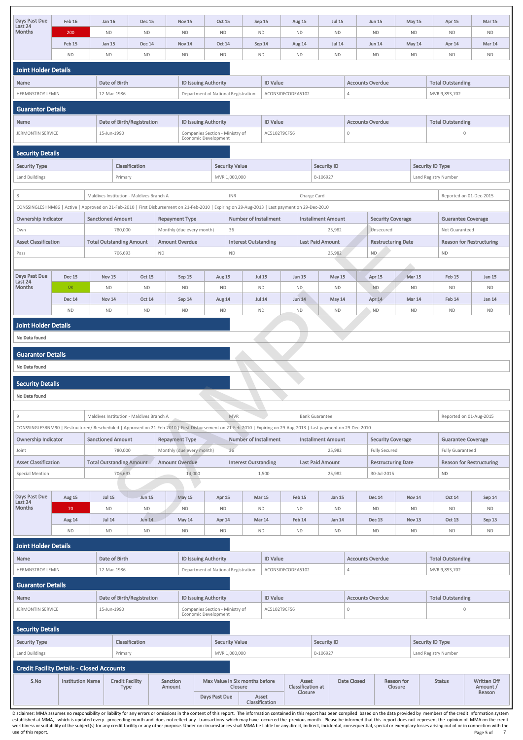| Days Past Due<br>Last 24    | Feb 16    | Jan 16        | <b>Dec 15</b> | <b>Nov 15</b> | <b>Oct 15</b>                       | Sep 15    |                 | <b>Aug 15</b>     | <b>Jul 15</b> | <b>Jun 15</b>           | May 15    | Apr 15                   | <b>Mar 15</b> |
|-----------------------------|-----------|---------------|---------------|---------------|-------------------------------------|-----------|-----------------|-------------------|---------------|-------------------------|-----------|--------------------------|---------------|
| <b>Months</b>               | 200       | <b>ND</b>     | <b>ND</b>     | <b>ND</b>     | <b>ND</b>                           | <b>ND</b> |                 | <b>ND</b>         | <b>ND</b>     | <b>ND</b>               | <b>ND</b> | <b>ND</b>                | <b>ND</b>     |
|                             | Feb 15    | Jan 15        | <b>Dec 14</b> | <b>Nov 14</b> | <b>Oct 14</b>                       | Sep 14    |                 | Aug 14            | <b>Jul 14</b> | <b>Jun 14</b>           | May 14    | Apr 14                   | <b>Mar 14</b> |
|                             | <b>ND</b> | <b>ND</b>     | <b>ND</b>     | <b>ND</b>     | <b>ND</b>                           | <b>ND</b> |                 | <b>ND</b>         | <b>ND</b>     | <b>ND</b>               | <b>ND</b> | <b>ND</b>                | <b>ND</b>     |
| <b>Joint Holder Details</b> |           |               |               |               |                                     |           |                 |                   |               |                         |           |                          |               |
| <b>Name</b>                 |           | Date of Birth |               |               | <b>ID Issuing Authority</b>         |           | <b>ID Value</b> |                   |               | <b>Accounts Overdue</b> |           | <b>Total Outstanding</b> |               |
| <b>HERMNSTROY LEMIN</b>     |           | 12-Mar-1986   |               |               | Department of National Registration |           |                 | ACONSIDFCODEA5102 |               |                         |           | MVR 9.893.702            |               |

| <b>HERMNSTROY LEMIN</b>  | 12-Mar-1986                | Department of National Registration                     | ACONSIDFCODEA5102 |                         | MVR 9,893,702            |
|--------------------------|----------------------------|---------------------------------------------------------|-------------------|-------------------------|--------------------------|
| <b>Guarantor Details</b> |                            |                                                         |                   |                         |                          |
| Name                     | Date of Birth/Registration | <b>ID Issuing Authority</b>                             | <b>ID Value</b>   | <b>Accounts Overdue</b> | <b>Total Outstanding</b> |
| <b>JERMONTIN SERVICE</b> | 15-Jun-1990                | Companies Section - Ministry of<br>Economic Development | AC5102T9CF56      |                         |                          |

| <b>Security Details</b>                                                                                                                                            |                         |                                 |                                          |                           |                                                                    |                                |                            |                                     |                           |                            |                            |                           |                            |                                           |                     |                                 |
|--------------------------------------------------------------------------------------------------------------------------------------------------------------------|-------------------------|---------------------------------|------------------------------------------|---------------------------|--------------------------------------------------------------------|--------------------------------|----------------------------|-------------------------------------|---------------------------|----------------------------|----------------------------|---------------------------|----------------------------|-------------------------------------------|---------------------|---------------------------------|
| <b>Security Type</b>                                                                                                                                               |                         |                                 | Classification                           |                           |                                                                    | <b>Security Value</b>          |                            |                                     | <b>Security ID</b>        |                            |                            |                           |                            | <b>Security ID Type</b>                   |                     |                                 |
| Land Buildings                                                                                                                                                     |                         | Primary                         |                                          |                           |                                                                    | MVR 1,000,000                  |                            |                                     | B-106927                  |                            |                            |                           |                            | Land Registry Number                      |                     |                                 |
| 8                                                                                                                                                                  |                         |                                 | Maldives Institution - Maldives Branch A |                           |                                                                    | <b>INR</b>                     |                            |                                     | Charge Card               |                            |                            |                           |                            |                                           |                     | Reported on 01-Dec-2015         |
| CONSSINGLESHNM86   Active   Approved on 21-Feb-2010   First Disbursement on 21-Feb-2010   Expiring on 29-Aug-2013   Last payment on 29-Dec-2010                    |                         |                                 |                                          |                           |                                                                    |                                |                            |                                     |                           |                            |                            |                           |                            |                                           |                     |                                 |
| <b>Ownership Indicator</b>                                                                                                                                         |                         | <b>Sanctioned Amount</b>        |                                          | <b>Repayment Type</b>     |                                                                    | <b>Number of Installment</b>   |                            |                                     | <b>Installment Amount</b> |                            |                            | <b>Security Coverage</b>  |                            |                                           |                     | <b>Guarantee Coverage</b>       |
| Own                                                                                                                                                                |                         | 780,000                         |                                          | Monthly (due every month) |                                                                    | 36                             |                            |                                     |                           | 25,982                     |                            | Unsecured                 |                            |                                           | Not Guaranteed      |                                 |
| <b>Asset Classification</b>                                                                                                                                        |                         | <b>Total Outstanding Amount</b> |                                          | <b>Amount Overdue</b>     |                                                                    | <b>Interest Outstanding</b>    |                            |                                     | <b>Last Paid Amount</b>   |                            |                            | <b>Restructuring Date</b> |                            |                                           |                     | <b>Reason for Restructuring</b> |
| Pass                                                                                                                                                               |                         | 706,693                         |                                          | ND                        |                                                                    | <b>ND</b>                      |                            |                                     |                           | 25,982                     | ND                         |                           |                            | <b>ND</b>                                 |                     |                                 |
|                                                                                                                                                                    |                         |                                 |                                          |                           |                                                                    |                                |                            |                                     |                           |                            |                            |                           |                            |                                           |                     |                                 |
| Days Past Due<br>Last 24                                                                                                                                           | <b>Dec 15</b>           | <b>Nov 15</b>                   | <b>Oct 15</b>                            | Sep 15                    | Aug 15                                                             |                                | <b>Jul 15</b>              | <b>Jun 15</b>                       |                           | May 15                     | Apr 15                     |                           | Mar 15                     |                                           | Feb 15              | Jan 15                          |
| <b>Months</b>                                                                                                                                                      | OK                      | <b>ND</b>                       | <b>ND</b>                                | <b>ND</b>                 | <b>ND</b>                                                          |                                | ND                         | ND.                                 |                           | <b>ND</b>                  | <b>ND</b>                  |                           | <b>ND</b>                  |                                           | <b>ND</b>           | <b>ND</b>                       |
|                                                                                                                                                                    | <b>Dec 14</b>           | <b>Nov 14</b>                   | <b>Oct 14</b>                            | Sep 14                    | Aug 14                                                             |                                | <b>Jul 14</b>              | <b>Jun 14</b>                       |                           | May 14                     | Apr 14                     |                           | <b>Mar 14</b>              |                                           | Feb 14              | Jan 14                          |
|                                                                                                                                                                    | <b>ND</b>               | <b>ND</b>                       | <b>ND</b>                                | <b>ND</b>                 | <b>ND</b>                                                          |                                | ND                         | ND                                  |                           | <b>ND</b>                  | ND                         |                           | <b>ND</b>                  |                                           | <b>ND</b>           | <b>ND</b>                       |
| <b>Joint Holder Details</b>                                                                                                                                        |                         |                                 |                                          |                           |                                                                    |                                |                            |                                     |                           |                            |                            |                           |                            |                                           |                     |                                 |
| No Data found                                                                                                                                                      |                         |                                 |                                          |                           |                                                                    |                                |                            |                                     |                           |                            |                            |                           |                            |                                           |                     |                                 |
| <b>Guarantor Details</b>                                                                                                                                           |                         |                                 |                                          |                           |                                                                    |                                |                            |                                     |                           |                            |                            |                           |                            |                                           |                     |                                 |
| No Data found                                                                                                                                                      |                         |                                 |                                          |                           |                                                                    |                                |                            |                                     |                           |                            |                            |                           |                            |                                           |                     |                                 |
|                                                                                                                                                                    |                         |                                 |                                          |                           |                                                                    |                                |                            |                                     |                           |                            |                            |                           |                            |                                           |                     |                                 |
| <b>Security Details</b>                                                                                                                                            |                         |                                 |                                          |                           |                                                                    |                                |                            |                                     |                           |                            |                            |                           |                            |                                           |                     |                                 |
| No Data found                                                                                                                                                      |                         |                                 |                                          |                           |                                                                    |                                |                            |                                     |                           |                            |                            |                           |                            |                                           |                     |                                 |
| 9                                                                                                                                                                  |                         |                                 | Maldives Institution - Maldives Branch A |                           |                                                                    | <b>MVR</b>                     |                            |                                     | <b>Bank Guarantee</b>     |                            |                            |                           |                            |                                           |                     | Reported on 01-Aug-2015         |
| CONSSINGLESBNM90   Restructured/ Rescheduled   Approved on 21-Feb-2010   First Disbursement on 21-Feb-2010   Expiring on 29-Aug-2013   Last payment on 29-Dec-2010 |                         |                                 |                                          |                           |                                                                    |                                |                            |                                     |                           |                            |                            |                           |                            |                                           |                     |                                 |
| <b>Ownership Indicator</b>                                                                                                                                         |                         | <b>Sanctioned Amount</b>        |                                          | <b>Repayment Type</b>     |                                                                    | <b>Number of Installment</b>   |                            |                                     | <b>Installment Amount</b> |                            |                            | <b>Security Coverage</b>  |                            |                                           |                     | <b>Guarantee Coverage</b>       |
| Joint                                                                                                                                                              |                         | 780,000                         |                                          | Monthly (due every month) |                                                                    | 36                             |                            |                                     |                           | 25,982                     |                            | <b>Fully Secured</b>      |                            | <b>Fully Guaranteed</b>                   |                     |                                 |
| <b>Asset Classification</b>                                                                                                                                        |                         | <b>Total Outstanding Amount</b> |                                          | <b>Amount Overdue</b>     |                                                                    | <b>Interest Outstanding</b>    |                            |                                     | <b>Last Paid Amount</b>   |                            |                            | <b>Restructuring Date</b> |                            | <b>Reason for Restructuring</b>           |                     |                                 |
| <b>Special Mention</b>                                                                                                                                             |                         | 706,693                         |                                          |                           | 14,000                                                             |                                | 1,500                      |                                     |                           | 25,982                     |                            | 30-Jul-2015               |                            | <b>ND</b>                                 |                     |                                 |
|                                                                                                                                                                    |                         |                                 |                                          |                           |                                                                    |                                |                            |                                     |                           |                            |                            |                           |                            |                                           |                     |                                 |
| Days Past Due<br>Last 24                                                                                                                                           | Aug 15                  | <b>Jul 15</b>                   | <b>Jun 15</b>                            | <b>May 15</b>             | Apr 15                                                             |                                | <b>Mar 15</b>              | Feb 15                              |                           | Jan 15                     | <b>Dec 14</b>              |                           | <b>Nov 14</b>              |                                           | <b>Oct 14</b>       | Sep 14                          |
| <b>Months</b>                                                                                                                                                      | 70                      | <b>ND</b><br><b>Jul 14</b>      | <b>ND</b><br>Jun 14                      | <b>ND</b>                 | <b>ND</b>                                                          |                                | <b>ND</b>                  | <b>ND</b><br>Feb 14                 |                           | <b>ND</b><br><b>Jan 14</b> | <b>ND</b><br><b>Dec 13</b> |                           | <b>ND</b><br><b>Nov 13</b> |                                           | ND<br><b>Oct 13</b> | <b>ND</b>                       |
|                                                                                                                                                                    | Aug 14<br><b>ND</b>     | <b>ND</b>                       | <b>ND</b>                                | May 14<br><b>ND</b>       | Apr 14<br><b>ND</b>                                                |                                | <b>Mar 14</b><br><b>ND</b> | <b>ND</b>                           |                           | <b>ND</b>                  | <b>ND</b>                  |                           | <b>ND</b>                  |                                           | <b>ND</b>           | Sep 13<br><b>ND</b>             |
|                                                                                                                                                                    |                         |                                 |                                          |                           |                                                                    |                                |                            |                                     |                           |                            |                            |                           |                            |                                           |                     |                                 |
| <b>Joint Holder Details</b>                                                                                                                                        |                         |                                 |                                          |                           |                                                                    |                                |                            |                                     |                           |                            |                            |                           |                            |                                           |                     |                                 |
| <b>Name</b><br><b>HERMNSTROY LEMIN</b>                                                                                                                             |                         | Date of Birth<br>12-Mar-1986    |                                          |                           | <b>ID Issuing Authority</b><br>Department of National Registration |                                | <b>ID Value</b>            | ACONSIDFCODEA5102                   |                           | $\overline{4}$             | <b>Accounts Overdue</b>    |                           |                            | <b>Total Outstanding</b><br>MVR 9,893,702 |                     |                                 |
|                                                                                                                                                                    |                         |                                 |                                          |                           |                                                                    |                                |                            |                                     |                           |                            |                            |                           |                            |                                           |                     |                                 |
| <b>Guarantor Details</b>                                                                                                                                           |                         |                                 |                                          |                           |                                                                    |                                |                            |                                     |                           |                            |                            |                           |                            |                                           |                     |                                 |
| <b>Name</b>                                                                                                                                                        |                         |                                 | <b>Date of Birth/Registration</b>        |                           | <b>ID Issuing Authority</b>                                        |                                | <b>ID Value</b>            |                                     |                           |                            | <b>Accounts Overdue</b>    |                           |                            | <b>Total Outstanding</b>                  |                     |                                 |
| <b>JERMONTIN SERVICE</b>                                                                                                                                           |                         | 15-Jun-1990                     |                                          |                           | Companies Section - Ministry of<br>Economic Development            |                                | AC5102T9CF56               |                                     |                           | $\mathbf 0$                |                            |                           |                            |                                           | $\mathbf 0$         |                                 |
| <b>Security Details</b>                                                                                                                                            |                         |                                 |                                          |                           |                                                                    |                                |                            |                                     |                           |                            |                            |                           |                            |                                           |                     |                                 |
| <b>Security Type</b>                                                                                                                                               |                         |                                 | Classification                           |                           |                                                                    | <b>Security Value</b>          |                            |                                     | <b>Security ID</b>        |                            |                            |                           |                            | <b>Security ID Type</b>                   |                     |                                 |
| Land Buildings                                                                                                                                                     |                         | Primary                         |                                          |                           |                                                                    | MVR 1,000,000                  |                            |                                     | B-106927                  |                            |                            |                           |                            | Land Registry Number                      |                     |                                 |
| <b>Credit Facility Details - Closed Accounts</b>                                                                                                                   |                         |                                 |                                          |                           |                                                                    |                                |                            |                                     |                           |                            |                            |                           |                            |                                           |                     |                                 |
| S.No                                                                                                                                                               | <b>Institution Name</b> | <b>Credit Facility</b>          |                                          | Sanction                  |                                                                    | Max Value in Six months before |                            | Asset                               |                           | <b>Date Closed</b>         |                            | <b>Reason for</b>         |                            | <b>Status</b>                             |                     | <b>Written Off</b>              |
|                                                                                                                                                                    |                         | <b>Type</b>                     |                                          | Amount                    |                                                                    | Closure                        |                            | <b>Classification at</b><br>Closure |                           | Closure                    |                            |                           |                            | Amount /<br>Reason                        |                     |                                 |
|                                                                                                                                                                    |                         |                                 |                                          |                           | Days Past Due                                                      |                                | Asset<br>Classification    |                                     |                           |                            |                            |                           |                            |                                           |                     |                                 |

| <b>Name</b>                                      |                                                                        | Date of Birth                  |                    | <b>ID Issuing Authority</b>         |                                                  | <b>ID Value</b>                |                                              |                    |                         | <b>Accounts Overdue</b> |  |                          | <b>Total Outstanding</b>                 |  |
|--------------------------------------------------|------------------------------------------------------------------------|--------------------------------|--------------------|-------------------------------------|--------------------------------------------------|--------------------------------|----------------------------------------------|--------------------|-------------------------|-------------------------|--|--------------------------|------------------------------------------|--|
| HERMNSTROY LEMIN                                 |                                                                        | 12-Mar-1986                    |                    | Department of National Registration |                                                  |                                | ACONSIDFCODEA5102                            |                    | 4                       |                         |  | MVR 9,893,702            |                                          |  |
| <b>Guarantor Details</b>                         |                                                                        |                                |                    |                                     |                                                  |                                |                                              |                    |                         |                         |  |                          |                                          |  |
| Name                                             |                                                                        | Date of Birth/Registration     |                    | <b>ID Issuing Authority</b>         |                                                  | <b>ID Value</b>                |                                              |                    | <b>Accounts Overdue</b> |                         |  | <b>Total Outstanding</b> |                                          |  |
| <b>JERMONTIN SERVICE</b>                         | Companies Section - Ministry of<br>15-Jun-1990<br>Economic Development |                                |                    |                                     |                                                  |                                | AC5102T9CF56                                 |                    | $\mathbf{0}$            |                         |  | $\mathbf{0}$             |                                          |  |
| <b>Security Details</b>                          |                                                                        |                                |                    |                                     |                                                  |                                |                                              |                    |                         |                         |  |                          |                                          |  |
| <b>Security Type</b>                             |                                                                        | Classification                 |                    |                                     | <b>Security Value</b>                            |                                |                                              | <b>Security ID</b> |                         |                         |  | <b>Security ID Type</b>  |                                          |  |
| Land Buildings                                   |                                                                        | Primary                        |                    |                                     | MVR 1,000,000                                    |                                |                                              | B-106927           |                         |                         |  | Land Registry Number     |                                          |  |
| <b>Credit Facility Details - Closed Accounts</b> |                                                                        |                                |                    |                                     |                                                  |                                |                                              |                    |                         |                         |  |                          |                                          |  |
| S.No                                             | <b>Institution Name</b>                                                | <b>Credit Facility</b><br>Type | Sanction<br>Amount | Days Past Due                       | Max Value in Six months before<br><b>Closure</b> | Asset<br><b>Classification</b> | Asset<br><b>Classification at</b><br>Closure |                    | Date Closed             | Reason for<br>Closure   |  | <b>Status</b>            | <b>Written Off</b><br>Amount /<br>Reason |  |

Disclaimer: MMA assumes no responsibility or liability for any errors or omissions in the content of this report. The information contained in this report has been compiled based on the data provided by members of the cred established at MMA, which is updated every proceeding month and does not reflect any transactions which may have occurred the previous month. Please be informed that this report does not represent the opinion of MMA on the worthiness or suitability of the subject(s) for any credit facility or any other purpose. Under no circumstances shall MMA be liable for any direct, indirect, incidental, consequential, special or exemplary losses arising use of this report. Notice that the control of the control of the control of the control of the control of the control of the control of the control of the control of the control of the control of the control of the contro Page 5 of 7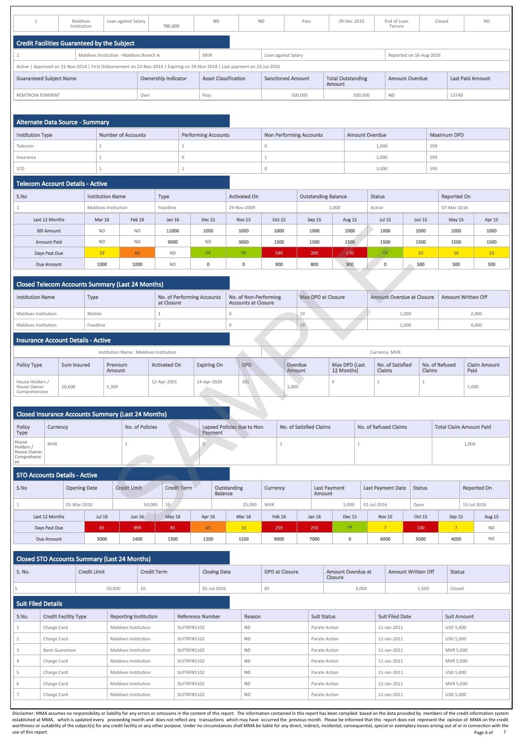|                                             | Maldives<br>Institution | Loan against Salary                      | 780,000                                                                                                                      | <b>ND</b>                   | <b>ND</b> | Pass                     | 29-Dec-2010                        | End of Loan<br>Tenure   | Closed | <b>ND</b>               |
|---------------------------------------------|-------------------------|------------------------------------------|------------------------------------------------------------------------------------------------------------------------------|-----------------------------|-----------|--------------------------|------------------------------------|-------------------------|--------|-------------------------|
| Credit Facilities Guaranteed by the Subject |                         |                                          |                                                                                                                              |                             |           |                          |                                    |                         |        |                         |
|                                             |                         | Maldives Institution - Maldives Branch A |                                                                                                                              | <b>MVR</b>                  |           | Loan against Salary      |                                    | Reported on 16-Aug-2016 |        |                         |
|                                             |                         |                                          | Active   Approved on 21-Nov-2014   First Disbursement on 22-Nov-2014   Expiring on 29-Nov-2018   Last payment on 23-Jul-2016 |                             |           |                          |                                    |                         |        |                         |
| <b>Guaranteed Subject Name</b>              |                         |                                          | <b>Ownership Indicator</b>                                                                                                   | <b>Asset Classification</b> |           | <b>Sanctioned Amount</b> | <b>Total Outstanding</b><br>Amount | <b>Amount Overdue</b>   |        | <b>Last Paid Amount</b> |
| <b>REMTROIN FENKRINT</b>                    |                         |                                          | Own                                                                                                                          | Pass                        |           | 500,000                  | 500,000                            | <b>ND</b>               |        | 13740                   |

| <b>Alternate Data Source - Summary</b> |                    |                            |                                |                       |                    |
|----------------------------------------|--------------------|----------------------------|--------------------------------|-----------------------|--------------------|
| <b>Institution Type</b>                | Number of Accounts | <b>Performing Accounts</b> | <b>Non Performing Accounts</b> | <b>Amount Overdue</b> | <b>Maximum DPD</b> |
| Telecom                                |                    |                            |                                | 1,000                 | 599                |
| Insurance                              |                    |                            |                                | 1,000                 | 599                |
| <b>STO</b>                             |                    |                            |                                | 3,000                 | 599                |

## Telecom Account Details - Active

| S.No               | <b>Institution Name</b> |               | <b>Type</b> |               | <b>Activated On</b> |               | <b>Outstanding Balance</b> |               | <b>Status</b> |               | <b>Reported On</b> |        |  |  |  |
|--------------------|-------------------------|---------------|-------------|---------------|---------------------|---------------|----------------------------|---------------|---------------|---------------|--------------------|--------|--|--|--|
|                    | Maldives Institution    |               | Fixedline   |               | 29-Nov-2009         |               |                            | 1,000         | Active        |               | 07-Mar-2016        |        |  |  |  |
| Last 12 Months     | <b>Mar 16</b>           | <b>Feb 16</b> | Jan 16      | <b>Dec 15</b> | <b>Nov 15</b>       | <b>Oct 15</b> | Sep 15                     | <b>Aug 15</b> | <b>Jul 15</b> | <b>Jun 15</b> | May 15             | Apr 15 |  |  |  |
| <b>Bill Amount</b> | <b>ND</b>               | <b>ND</b>     | 11000       | 1000          | 1000                | 1000          | 1000                       | 1000          | 1000          | 1000          | 1000               | 1000   |  |  |  |
| <b>Amount Paid</b> | <b>ND</b>               | <b>ND</b>     | 9000        | <b>ND</b>     | 3000                | 1500          | 1500                       | 1500          | 1500          | 1500          | 1500               | 1500   |  |  |  |
| Days Past Due      | 19                      | 60            | <b>ND</b>   | <b>OK</b>     | OK                  | 599           | 200                        | 170           | OK            | 10            | 10                 | 10     |  |  |  |
| <b>Due Amount</b>  | 1000                    | 1000          | <b>ND</b>   | $\mathbf 0$   | υ                   | 900           | 800                        | 900           | 0             | 500           | 500                | 500    |  |  |  |

# Closed Telecom Accounts Summary (Last 24 Months)

|                     | <b>Closed STO Accounts Summary (Last 24 Months)</b> |                     |                              |                    |             |                         |           |                       |                    |                                     |                           |                                                                                                                                                                                                                                                                                                                                                                                                                                                                                                                                                                                                                                                                                                                |
|---------------------|-----------------------------------------------------|---------------------|------------------------------|--------------------|-------------|-------------------------|-----------|-----------------------|--------------------|-------------------------------------|---------------------------|----------------------------------------------------------------------------------------------------------------------------------------------------------------------------------------------------------------------------------------------------------------------------------------------------------------------------------------------------------------------------------------------------------------------------------------------------------------------------------------------------------------------------------------------------------------------------------------------------------------------------------------------------------------------------------------------------------------|
| S. No.              |                                                     | <b>Credit Limit</b> |                              | <b>Credit Term</b> |             | <b>Closing Date</b>     |           | <b>DPD at Closure</b> |                    | Amount Overdue at<br><b>Closure</b> | <b>Amount Written Off</b> | <b>Status</b>                                                                                                                                                                                                                                                                                                                                                                                                                                                                                                                                                                                                                                                                                                  |
|                     | 50,000<br>10<br>01-Jul-2016                         |                     |                              |                    |             |                         |           | 65                    |                    | 3,000                               | 1,500                     | Closed                                                                                                                                                                                                                                                                                                                                                                                                                                                                                                                                                                                                                                                                                                         |
|                     | <b>Suit Filed Details</b>                           |                     |                              |                    |             |                         |           |                       |                    |                                     |                           |                                                                                                                                                                                                                                                                                                                                                                                                                                                                                                                                                                                                                                                                                                                |
| S.No.               | <b>Credit Facility Type</b>                         |                     | <b>Reporting Institution</b> |                    |             | <b>Reference Number</b> | Reason    |                       | <b>Suit Status</b> |                                     | <b>Suit Filed Date</b>    | <b>Suit Amount</b>                                                                                                                                                                                                                                                                                                                                                                                                                                                                                                                                                                                                                                                                                             |
|                     | Charge Card                                         |                     | Maldives Institution         |                    | SUITRFN5102 |                         | <b>ND</b> |                       |                    | Parate Action                       | 11-Jan-2011               | <b>USD 5,000</b>                                                                                                                                                                                                                                                                                                                                                                                                                                                                                                                                                                                                                                                                                               |
|                     | Charge Card<br>SUITRFN5102<br>Maldives Institution  |                     |                              |                    |             | <b>ND</b>               |           |                       | Parate Action      | 11-Jan-2011                         | <b>USD 5,000</b>          |                                                                                                                                                                                                                                                                                                                                                                                                                                                                                                                                                                                                                                                                                                                |
|                     | <b>Bank Guarantee</b>                               |                     | Maldives Institution         |                    | SUITRFN5102 |                         | <b>ND</b> |                       |                    | Parate Action                       | 11-Jan-2011               | MVR 5.000                                                                                                                                                                                                                                                                                                                                                                                                                                                                                                                                                                                                                                                                                                      |
|                     | Charge Card                                         |                     | Maldives Institution         |                    | SUITRFN5102 |                         | ND.       |                       |                    | Parate Action                       | 11-Jan-2011               | MVR 5,000                                                                                                                                                                                                                                                                                                                                                                                                                                                                                                                                                                                                                                                                                                      |
| 5                   | Charge Card                                         |                     | Maldives Institution         |                    | SUITRFN5102 |                         | <b>ND</b> |                       |                    | Parate Action                       | 11-Jan-2011               | <b>USD 5,000</b>                                                                                                                                                                                                                                                                                                                                                                                                                                                                                                                                                                                                                                                                                               |
|                     | Charge Card                                         |                     | Maldives Institution         |                    | SUITRFN5102 |                         | <b>ND</b> |                       |                    | Parate Action                       | 11-Jan-2011               | MVR 5,000                                                                                                                                                                                                                                                                                                                                                                                                                                                                                                                                                                                                                                                                                                      |
|                     | Charge Card                                         |                     | <b>Maldives Institution</b>  |                    | SUITRFN5102 |                         | <b>ND</b> |                       |                    | Parate Action                       | 11-Jan-2011               | <b>USD 5,000</b>                                                                                                                                                                                                                                                                                                                                                                                                                                                                                                                                                                                                                                                                                               |
|                     |                                                     |                     |                              |                    |             |                         |           |                       |                    |                                     |                           |                                                                                                                                                                                                                                                                                                                                                                                                                                                                                                                                                                                                                                                                                                                |
| use of this report. |                                                     |                     |                              |                    |             |                         |           |                       |                    |                                     |                           | Disclaimer: MMA assumes no responsibility or liability for any errors or omissions in the content of this report. The information contained in this report has been compiled based on the data provided by members of the cred<br>established at MMA, which is updated every proceeding month and does not reflect any transactions which may have occurred the previous month. Please be informed that this report does not represent the opinion of MMA on the<br>worthiness or suitability of the subject(s) for any credit facility or any other purpose. Under no circumstances shall MMA be liable for any direct, indirect, incidental, consequential, special or exemplary losses arising<br>Page 6 of |

Page 6 of 7

| <b>Institution Name</b> | Type      | <b>No. of Performing Accounts</b><br>at Closure | No. of Non-Performing<br><b>Accounts at Closure</b> | Max DPD at Closure | Amount Overdue at Closure | <b>Amount Written Off</b> |
|-------------------------|-----------|-------------------------------------------------|-----------------------------------------------------|--------------------|---------------------------|---------------------------|
| Maldives Institution    | Mobile    |                                                 |                                                     |                    | 1,000                     | 2,000                     |
| Maldives Institution    | Fixedline |                                                 |                                                     | 19                 | 2,000                     | 4,000                     |

## Insurance Account Details - Active

|                                                 |                    | Institution Name: Maldives Institution |                     |                    |            | Currency: MVR |                   |                             |                                   |                                 |                             |  |  |
|-------------------------------------------------|--------------------|----------------------------------------|---------------------|--------------------|------------|---------------|-------------------|-----------------------------|-----------------------------------|---------------------------------|-----------------------------|--|--|
| <b>Policy Type</b>                              | <b>Sum Insured</b> | Premium<br>Amount                      | <b>Activated On</b> | <b>Expiring On</b> | <b>DPD</b> |               | Overdue<br>Amount | Max DPD (Last<br>12 Months) | No. of Satisfied<br><b>Claims</b> | No. of Refused<br><b>Claims</b> | <b>Claim Amount</b><br>Paid |  |  |
| House Holders /<br>House Owner<br>Comprehensive | 10,600             | 5,300                                  | 12-Apr-2001         | 14-Apr-2020        | 181        |               | 1,000             |                             |                                   |                                 | 1,000                       |  |  |

|                                                        | <b>Closed Insurance Accounts Summary (Last 24 Months)</b> |                 |                                       |                         |                       |                                |  |  |  |  |  |  |  |
|--------------------------------------------------------|-----------------------------------------------------------|-----------------|---------------------------------------|-------------------------|-----------------------|--------------------------------|--|--|--|--|--|--|--|
| Policy<br><b>Type</b>                                  | Currency                                                  | No. of Policies | Lapsed Policies due to Non<br>Payment | No. of Satisfied Claims | No. of Refused Claims | <b>Total Claim Amount Paid</b> |  |  |  |  |  |  |  |
| House<br>Holders /<br>House Owner<br>Comprehensi<br>ve | <b>MVR</b>                                                |                 | - U                                   |                         |                       | 1,000                          |  |  |  |  |  |  |  |

|                                                           | <b>Bill Amount</b> |                     | <b>ND</b>     |                          | <b>ND</b>                              | 11000               |                    | 1000                              |                |                    | 1000                                                |            | 1000            |                          | 1000                           | 1000                        |              | 1000<br>1000<br>1000                                                         |       |               |                                |           | 1000                |
|-----------------------------------------------------------|--------------------|---------------------|---------------|--------------------------|----------------------------------------|---------------------|--------------------|-----------------------------------|----------------|--------------------|-----------------------------------------------------|------------|-----------------|--------------------------|--------------------------------|-----------------------------|--------------|------------------------------------------------------------------------------|-------|---------------|--------------------------------|-----------|---------------------|
|                                                           | <b>Amount Paid</b> |                     | <b>ND</b>     |                          | <b>ND</b>                              | 9000                |                    | <b>ND</b>                         |                |                    | 3000                                                |            | 1500            |                          | 1500                           | 1500                        |              | 1500                                                                         |       | 1500          | 1500                           |           | 1500                |
|                                                           | Days Past Due      |                     | 19            |                          | 60                                     | <b>ND</b>           |                    | OK                                |                |                    | OK                                                  |            | 599             |                          | 200                            | 170                         |              | OK                                                                           |       | 10            | 10                             |           | 10                  |
|                                                           | <b>Due Amount</b>  |                     | 1000          |                          | 1000                                   | <b>ND</b>           |                    | $\mathbf 0$                       |                |                    | $\mathbf 0$                                         |            | 900             |                          | 800                            | 900                         |              | $\mathbf 0$                                                                  |       | 500           | 500                            |           | 500                 |
| <b>Closed Telecom Accounts Summary (Last 24 Months)</b>   |                    |                     |               |                          |                                        |                     |                    |                                   |                |                    |                                                     |            |                 |                          |                                |                             |              |                                                                              |       |               |                                |           |                     |
| <b>Institution Name</b>                                   |                    |                     | Type          |                          |                                        | at Closure          |                    | <b>No. of Performing Accounts</b> |                |                    | No. of Non-Performing<br><b>Accounts at Closure</b> |            |                 |                          | <b>Max DPD at Closure</b>      |                             |              | <b>Amount Overdue at Closure</b>                                             |       |               | <b>Amount Written Off</b>      |           |                     |
| Maldives Institution                                      |                    |                     | Mobile        |                          |                                        | $\mathbf{1}$        |                    |                                   |                | $\mathbf 0$        |                                                     |            |                 | 19                       |                                |                             |              | 1,000                                                                        | 2,000 |               |                                |           |                     |
| Maldives Institution                                      |                    |                     | Fixedline     |                          |                                        | $\overline{2}$      |                    |                                   |                | $\mathbf{0}$       |                                                     |            |                 | 19                       |                                |                             |              |                                                                              | 2,000 |               |                                |           | 4,000               |
| <b>Insurance Account Details - Active</b>                 |                    |                     |               |                          |                                        |                     |                    |                                   |                |                    |                                                     |            |                 |                          |                                |                             |              |                                                                              |       |               |                                |           |                     |
|                                                           |                    |                     |               |                          | Institution Name: Maldives Institution |                     |                    |                                   |                |                    |                                                     |            |                 |                          |                                |                             |              | Currency: MVR                                                                |       |               |                                |           |                     |
| <b>Policy Type</b>                                        |                    | <b>Sum Insured</b>  |               | Premium<br><b>Amount</b> |                                        | <b>Activated On</b> |                    | <b>Expiring On</b>                |                |                    | <b>DPD</b>                                          |            |                 | Overdue<br><b>Amount</b> |                                | Max DPD (Last<br>12 Months) |              | No. of Satisfied<br>No. of Refused<br><b>Claims</b><br><b>Claims</b><br>Paid |       |               |                                |           | <b>Claim Amount</b> |
| House Holders /<br>House Owner<br>Comprehensive           |                    | 10,600              |               | 5,300                    |                                        | 12-Apr-2001         |                    | 14-Apr-2020                       |                |                    | 181                                                 |            | 1,000           |                          |                                | $\mathbf 0$                 |              | $\mathbf{1}$<br>$\mathbf{1}$<br>1,000                                        |       |               |                                |           |                     |
|                                                           |                    |                     |               |                          |                                        |                     |                    |                                   |                |                    |                                                     |            |                 |                          |                                |                             |              |                                                                              |       |               |                                |           |                     |
| <b>Closed Insurance Accounts Summary (Last 24 Months)</b> |                    |                     |               |                          |                                        |                     |                    |                                   |                |                    |                                                     |            |                 |                          |                                |                             |              |                                                                              |       |               |                                |           |                     |
| Policy<br><b>Type</b>                                     | Currency           |                     |               |                          | <b>No. of Policies</b>                 |                     |                    | Payment                           |                |                    | Lapsed Policies due to Non                          |            |                 |                          | <b>No. of Satisfied Claims</b> |                             |              | <b>No. of Refused Claims</b>                                                 |       |               | <b>Total Claim Amount Paid</b> |           |                     |
| House<br>Holders /<br>House Owner<br>Comprehensi<br>ve    | <b>MVR</b>         |                     |               |                          | $\mathbf{1}$                           |                     |                    | $\circ$                           |                |                    |                                                     |            | $\mathbf{1}$    |                          |                                |                             | $\mathbf{1}$ |                                                                              |       |               |                                | 1,000     |                     |
| <b>STO Accounts Details - Active</b>                      |                    |                     |               |                          |                                        |                     |                    |                                   |                |                    |                                                     |            |                 |                          |                                |                             |              |                                                                              |       |               |                                |           |                     |
| S.No                                                      |                    | <b>Opening Date</b> |               |                          | <b>Credit Limit</b>                    |                     | <b>Credit Term</b> |                                   | <b>Balance</b> | <b>Outstanding</b> |                                                     |            | <b>Currency</b> |                          | <b>Last Payment</b><br>Amount  |                             |              | <b>Last Payment Date</b><br><b>Reported On</b><br><b>Status</b>              |       |               |                                |           |                     |
| $\mathbf{1}$                                              |                    | 01-Mar-2010         |               |                          | 50,000                                 | 10                  |                    |                                   |                |                    | 25,000                                              | <b>MVR</b> |                 |                          |                                | 5,000                       |              | 01-Jul-2016<br>15-Jul-2016<br>Open                                           |       |               |                                |           |                     |
| Last 12 Months                                            |                    |                     | <b>Jul 16</b> |                          | <b>Jun 16</b>                          | <b>May 16</b>       |                    | Apr 16                            |                |                    | <b>Mar 16</b>                                       |            | Feb 16          |                          | Jan 16                         | <b>Dec 15</b>               |              | <b>Nov 15</b>                                                                |       | <b>Oct 15</b> | Sep 15                         |           | Aug 15              |
|                                                           | Days Past Due      |                     | 65            |                          | 999                                    | 85                  |                    | 45                                |                |                    | 10                                                  |            | 259             |                          | 259                            | OK                          |              | $7^{\circ}$                                                                  |       | 100           | $\overline{7}$                 |           | <b>ND</b>           |
|                                                           | <b>Due Amount</b>  |                     | 3000          |                          | 1400                                   | 1300                |                    | 1200                              |                |                    | 1100                                                |            | 9000            |                          | 7000                           | $\mathbf 0$                 |              | 6000<br>5000<br>4000                                                         |       |               |                                | <b>ND</b> |                     |